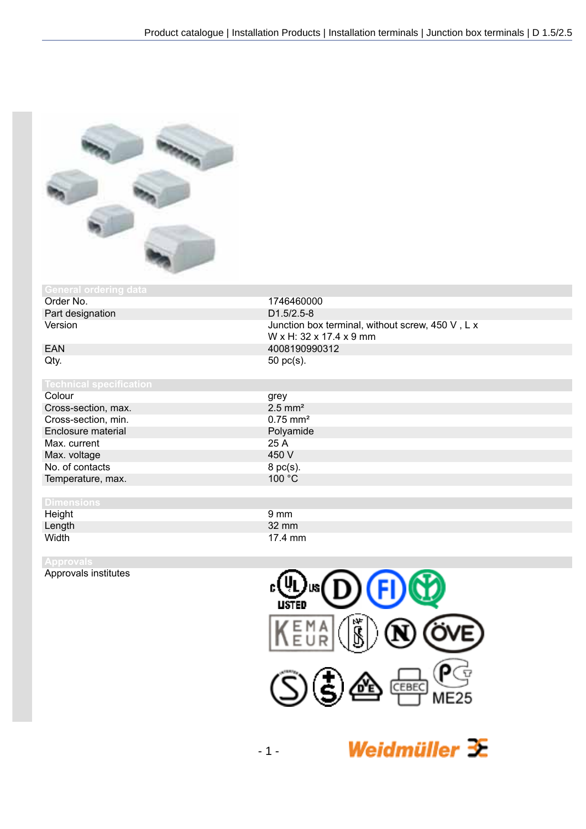

# **General ordering data**

Part designation<br>Version

Colour Cross-section, max. Cross-section, min. Enclosure material Max. current Max. voltage No. of contacts Temperature, max.

## **Dimensions**

Height Length<br>Width Width 17.4 mm

Approvals institutes



| grey                  |
|-----------------------|
| $2.5$ mm <sup>2</sup> |
| $0.75 \text{ mm}^2$   |
| Polyamide             |
| 25 A                  |
| 450 V                 |
| 8 pc(s).              |
| 100 °C                |
|                       |

| $9 \text{ mm}$ |  |
|----------------|--|
| 32 mm          |  |
| 17.4 mm        |  |
|                |  |



Weidmüller  $\mathcal{\mathcal{F}}$